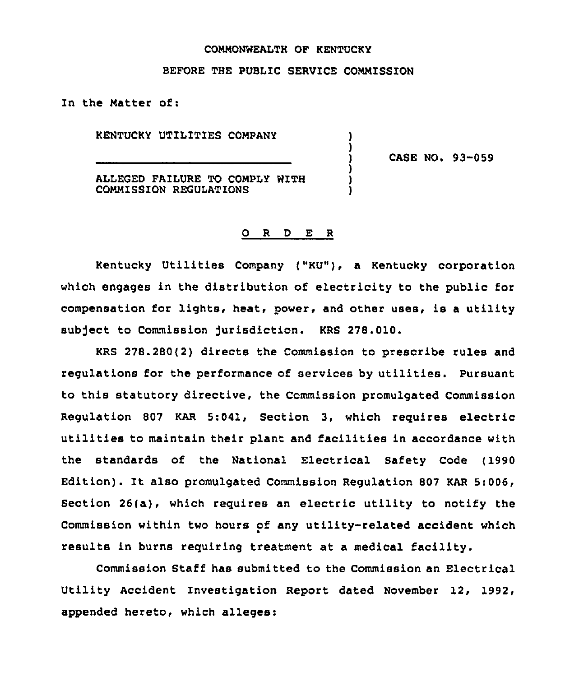### COMMONWEALTH OF KENTUCKY

### BEFORE THE PUBLIC SERVICE COMMISSION

) )

) ) )

In the Matter of:

KENTUCKY UTILITIES COMPANY

) CASE NO. 93-059

ALLEGED FAILURE TO COMPLY WITH COMMISSION REGULATIONS

#### 0 <sup>R</sup> <sup>D</sup> E <sup>R</sup>

Kentucky Utilities Company {"KU"), a Kentucky corporation which engages in the distribution of electricity to the public for compensation for lights, heat, power, and other uses, is a utility subject to Commission Jurisdiction. KRS 278.010.

KRS 278.280(2) directs the Commission to prescribe rules and regulations for the performance of services by utilities. Pursuant to this statutory directive, the Commission promulgated Commission Regulation 807 KAR 5:041, Section 3, which requires electric utilities to maintain their plant and facilities in accordance with the standards of the National Electrical Safety Code (1990 Edition). It also promulgated Commission Regulation <sup>807</sup> KAR 5:006, Section 26(a), which requires an electric utility to notify the Commission within two hours of any utility-related accident which results in burns requiring treatment at a medical facility.

Commission Staff has submitted to the Commission an Electrical Utility Accident Investigation Report dated November 12, 1992, appended hereto, which alleges: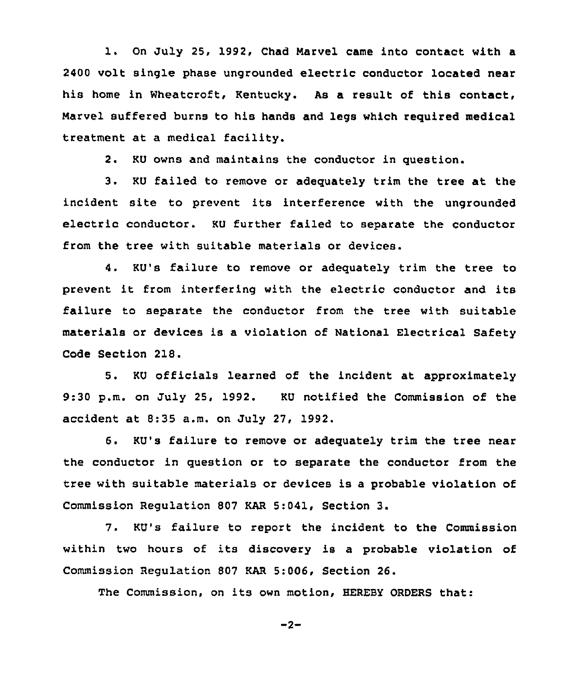l. On July 25, 1992, Chad Marvel came into contact with <sup>a</sup> 2400 volt single phase ungrounded electric conductor located near his home in Wheatcroft, Kentucky. As a result of this contact, Marvel suffered burns to his hands and legs which required medical treatment at a medical facility.

2. KU owns and maintains the conductor in question.

3. KU failed to remove or adequately trim the tree at the incident site to prevent its interference with the ungrounded electric conductor. KU further failed to separate the conductor from the tree with suitable materials or devices.

4. KU's failure to remove or adequately trim the tree to prevent it from interfering with the electric conductor and its failure to separate the conductor from the tree with suitable materials or devices is a violation of National Electrical Safety Code Section 218.

5. KU officials learned of the incident at approximately 9:30 p.m. on July 25, 1992. KU notified the Commission of the accident at 8:35 a.m. on July 27, 1992.

6. KU's failure to remove or adequately trim the tree near the conductor in question or to separate the conductor from the tree with suitable materials or devices is a probable violation of Commission Regulation 807 KAR 5:041, Section 3.

7. KU's failure to report the incident to the Commission within two hours of its discovery is a probable violation of Commission Regulation 807 KAR 5:006, Section 26.

The Commission, on its own motion, HEREBY ORDERS that:

$$
-2 -
$$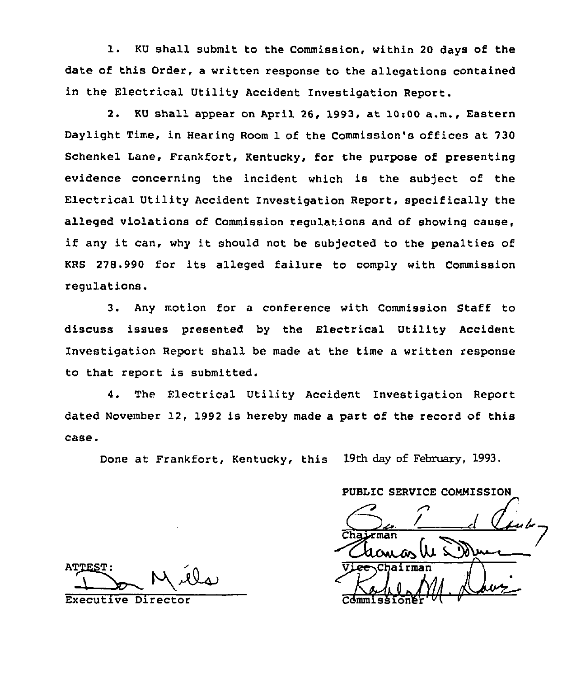1. KU shall submit to the Commission, within <sup>20</sup> days of the date of this Order, a written response to the allegations contained in the Electrical Utility Accident Investigation Report.

2. KU shall appear on April 26, 1993, at 10:00 a.m., Eastern Daylight Time, in Hearing Room 1 of the Commission's offices at 730 Schenkel Lane, Frankfort, Kentucky, for the purpose of presenting evidence concerning the incident which is the subject of the Electrical Utility Accident Investigation Report, specifically the alleged violations of Commission regulations and of showing cause, if any it can, why it should not be subjected to the penalties of KRS 278.990 for its alleged failure to comply with Commission regulations.

3. Any motion for a conference with Commission Staff to discuss issues presented by the Electrical Utility Accident Investigation Report shall be made at the time a written response to that report is submitted.

4. The Electrical Utility Accident Investigation Report dated November 12, 1992 is hereby made a part of the record of this case.

Done at Frankfort, Kentucky, this 19th day of February, 1993.

PUBLIC SERVICE COMMISSION  $\mathbb{C}$ Chamos lu 50 Cdmmissioner an<br>M. Lau

**ATTEST:** 

Executive Director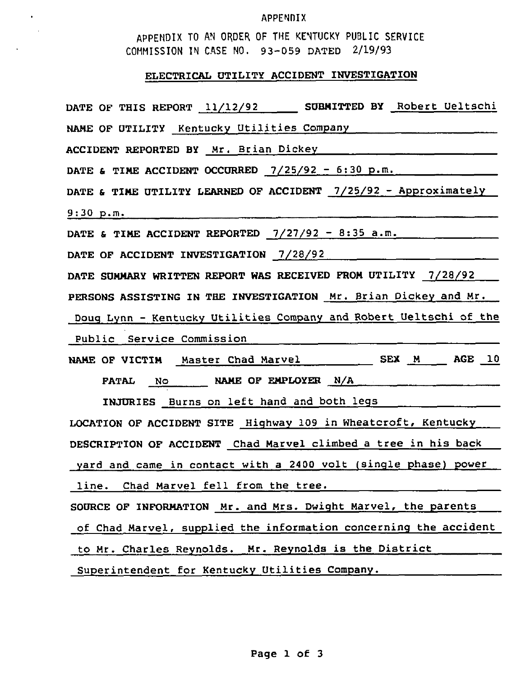### APPENDIX

APPENDIX TO AN ORDER OF THE KENTUCKY PUBLIC SERVICE COMMISSION IN CASE NO. 93-059 DATED 2/19/93

 $\star$  $\sim$  .

# ELECTRICAL UTILITY ACCIDENT INVESTIGATION

| DATE OF THIS REPORT 11/12/92 _____ SUBMITTED BY Robert Ueltschi   |
|-------------------------------------------------------------------|
| NAME OF UTILITY Kentucky Utilities Company                        |
| ACCIDENT REPORTED BY Mr. Brian Dickey [100]                       |
| DATE & TIME ACCIDENT OCCURRED $7/25/92 - 6:30$ p.m.               |
| DATE & TIME UTILITY LEARNED OF ACCIDENT 7/25/92 - Approximately   |
| 9:30 p.m.                                                         |
| DATE & TIME ACCIDENT REPORTED $7/27/92 - 8:35$ a.m.               |
| DATE OF ACCIDENT INVESTIGATION 7/28/92                            |
| DATE SUMMARY WRITTEN REPORT WAS RECEIVED FROM UTILITY 7/28/92     |
| PERSONS ASSISTING IN THE INVESTIGATION Mr. Brian Dickey and Mr.   |
| Doug Lynn - Kentucky Utilities Company and Robert Ueltschi of the |
| Public Service Commission                                         |
| NAME OF VICTIM Master Chad Marvel SEX M _ AGE 10                  |
| FATAL NO NAME OF EMPLOYER N/A                                     |
| INJURIES Burns on left hand and both legs                         |
| LOCATION OF ACCIDENT SITE Highway 109 in Wheatcroft, Kentucky     |
| DESCRIPTION OF ACCIDENT Chad Marvel climbed a tree in his back    |
| yard and came in contact with a 2400 volt (single phase) power    |
| line. Chad Marvel fell from the tree.                             |
| SOURCE OF INFORMATION Mr. and Mrs. Dwight Marvel, the parents     |
| of Chad Marvel, supplied the information concerning the accident  |
| to Mr. Charles Reynolds. Mr. Reynolds is the District             |
| Superintendent for Kentucky Utilities Company.                    |
|                                                                   |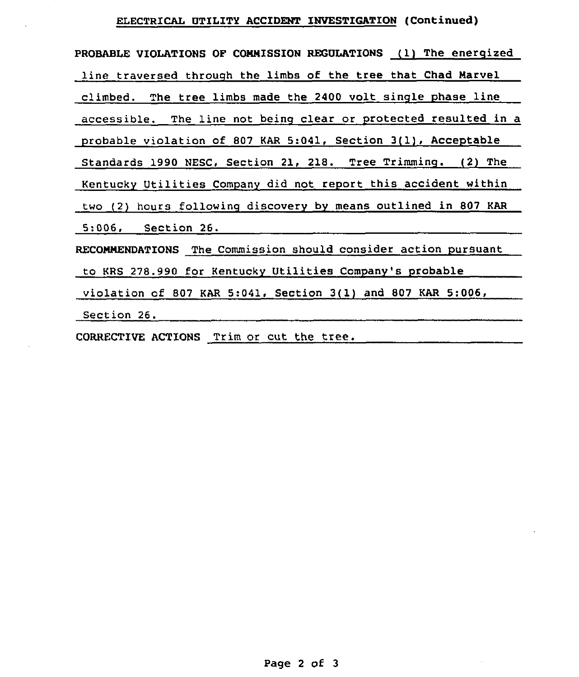## ELEcTRIcAL UTILITY AcCIDENT INVESTIGATION (Continued)

| PROBABLE VIOLATIONS OF COMMISSION REGULATIONS (1) The energized |
|-----------------------------------------------------------------|
| line traversed through the limbs of the tree that Chad Marvel   |
| climbed. The tree limbs made the 2400 volt single phase line    |
| accessible. The line not being clear or protected resulted in a |
| probable violation of 807 KAR 5:041, Section 3(1), Acceptable   |
| Standards 1990 NESC, Section 21, 218. Tree Trimming. (2) The    |
| Kentucky Utilities Company did not report this accident within  |
| two (2) hours following discovery by means outlined in 807 KAR  |
| 5:006, Section 26.                                              |
| RECOMMENDATIONS The Commission should consider action pursuant  |
| to KRS 278.990 for Kentucky Utilities Company's probable        |
| violation of 807 KAR 5:041, Section 3(1) and 807 KAR 5:006,     |
| Section 26.                                                     |

CORRECTIVE ACTIONS Trim or cut the tree.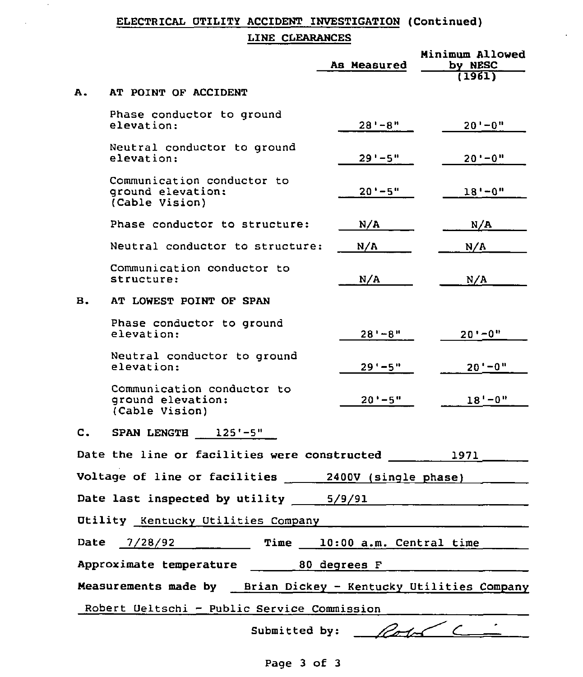# ELECTRICAL UTILITY ACCIDENT INVESTIGATION (Continued)

ä,

### LINE CLEARANCES

 $\sim$ 

 $\lambda$ 

|    |                                                                   | As Measured                  | Minimum Allowed<br>by NESC |
|----|-------------------------------------------------------------------|------------------------------|----------------------------|
|    |                                                                   |                              | (1961)                     |
| Α. | AT POINT OF ACCIDENT                                              |                              |                            |
|    | Phase conductor to ground<br>elevation:                           | $28' - 8''$                  | $20' - 0''$                |
|    | Neutral conductor to ground<br>elevation:                         | $29' - 5"$                   | $20' - 0''$                |
|    | Communication conductor to<br>ground elevation:<br>(Cable Vision) | $20' - 5"$                   | $18 - 0$ "                 |
|    | Phase conductor to structure:                                     | N/A                          | N/A                        |
|    | Neutral conductor to structure:                                   | N/A                          | N/A                        |
|    | Communication conductor to<br>structure:                          | N/A                          | N/A                        |
| в. | AT LOWEST POINT OF SPAN                                           |                              |                            |
|    | Phase conductor to ground<br>elevation:                           | $28' - 8''$                  | $20' - 0''$                |
|    | Neutral conductor to ground<br>elevation:                         | $29' - 5"$                   | $20' - 0''$                |
|    | Communication conductor to<br>ground elevation:<br>(Cable Vision) | $20' - 5"$                   | $18' - 0''$                |
| C. | SPAN LENGTH 125'-5"                                               |                              |                            |
|    | Date the line or facilities were constructed                      |                              | 1971                       |
|    | Voltage of line or facilities                                     | 2400V (single phase)         |                            |
|    | Date last inspected by utility                                    | 5/9/91                       |                            |
|    | Utility Kentucky Utilities Company                                |                              |                            |
|    | Date 7/28/92                                                      | Time 10:00 a.m. Central time |                            |
|    | Approximate temperature 20 degrees F                              |                              |                            |
|    | Measurements made by Brian Dickey - Kentucky Utilities Company    |                              |                            |
|    | Robert Ueltschi - Public Service Commission                       |                              |                            |
|    | Submitted by:                                                     |                              |                            |

Page 3 of 3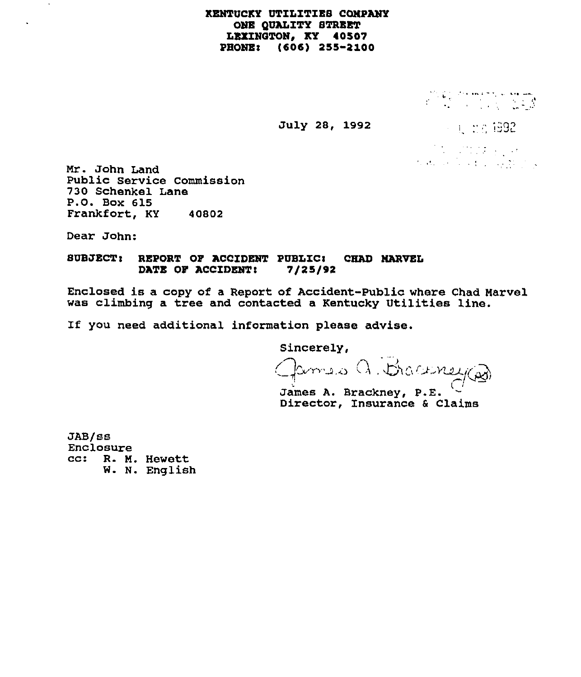### KENTUCKY UTILITIES COMPANY ONB QUALITY STRBBT LEXINGTON, KY 40507 PHONE: (606) 255-2100

 $\label{eq:2} \begin{array}{c} \displaystyle \frac{1}{2} \sum_{i=1}^{n-1} \frac{1}{2} \sum_{j=1}^{n-1} \frac{1}{2} \sum_{j=1}^{n-1} \frac{1}{2} \sum_{j=1}^{n-1} \frac{1}{2} \sum_{j=1}^{n-1} \frac{1}{2} \sum_{j=1}^{n-1} \frac{1}{2} \sum_{j=1}^{n-1} \frac{1}{2} \sum_{j=1}^{n-1} \frac{1}{2} \sum_{j=1}^{n-1} \frac{1}{2} \sum_{j=1}^{n-1} \frac{1}{2} \sum_{j=1$ 

#### July 28, 1992

 $\sim 1.25$  1992

 $\label{eq:2.1} \mathcal{L}^{\mathcal{A}}(\mathcal{A})=\mathcal{L}^{\mathcal{A}}(\mathcal{A})\otimes\mathcal{L}^{\mathcal{A}}(\mathcal{A})\otimes\mathcal{L}^{\mathcal{A}}(\mathcal{A})$  $\label{eq:2} \mathcal{F}_{\mathcal{A}}(A_{\mathcal{A}}) = \mathcal{F}_{\mathcal{A}}(A_{\mathcal{A}}) = \mathcal{F}_{\mathcal{A}}(A_{\mathcal{A}}) = \mathcal{F}_{\mathcal{A}}(A_{\mathcal{A}})$ 

Mr. John Land Public service commission 730 Schenkel Lane P.O. Box 615 Frankfort, KY 40802

Dear John:

 $\cdot$ 

### SUBJECT: REPORT OF ACCIDENT PUBLIC: CHAD MARVEL DATE OF ACCIDENT: 7/25/92

Enclosed is a copy of a Report of Accident-Public where Chad Marvel was climbing a tree and contacted a Kentucky Utilities line.

If you need additional information please advise.

Sincerely,

Braconner

James A. Brackney, P.E. Director, Insurance 6 Claims

JAB/ss Enclosure cc: R. M. Hewett W. N. English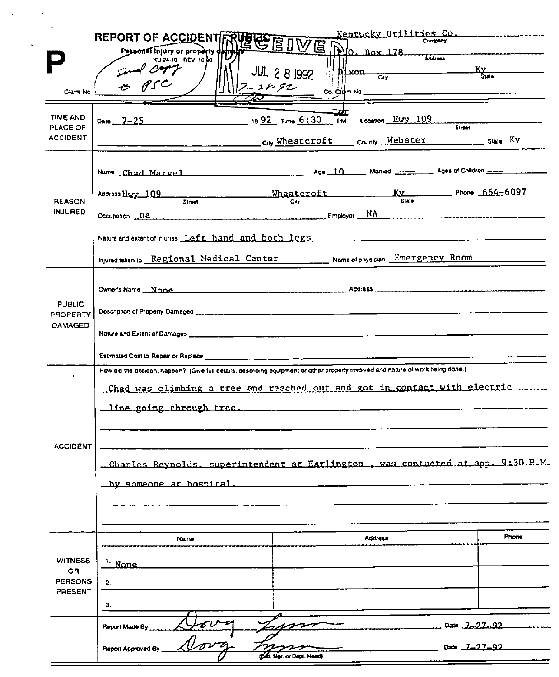|                                                                                                                                                                                                                                                                                                                                                               | REPORT OF ACCIDENT RUBLE EDWE DO. BOX 178<br>KU 24-10 REV 10-00                                                                   |                                                                                                              | Kentucky Utilities Co.<br>Company<br>Address |  |  |  |
|---------------------------------------------------------------------------------------------------------------------------------------------------------------------------------------------------------------------------------------------------------------------------------------------------------------------------------------------------------------|-----------------------------------------------------------------------------------------------------------------------------------|--------------------------------------------------------------------------------------------------------------|----------------------------------------------|--|--|--|
| Claim No.                                                                                                                                                                                                                                                                                                                                                     | $\star$ 850<br>$7 - 22.52$                                                                                                        | $\frac{1}{\frac{1}{\frac{1}{\frac{1}{\sqrt{N}}}} \cdot \frac{1}{\frac{1}{\sqrt{N}}}}$<br><b>JUL 2 8 1992</b> | $\frac{K_{\rm Y}}{S_{\rm line}}$             |  |  |  |
| <b>TIME AND</b><br>PLACE OF                                                                                                                                                                                                                                                                                                                                   | Date 7-25 1992 Time 6:30 PM                                                                                                       | щr<br>Location Hwy 109                                                                                       | <b>Street</b>                                |  |  |  |
| <b>ACCIDENT</b>                                                                                                                                                                                                                                                                                                                                               |                                                                                                                                   | Cny Wheatcroft county Webster ___________ sume Ky ____                                                       |                                              |  |  |  |
|                                                                                                                                                                                                                                                                                                                                                               |                                                                                                                                   |                                                                                                              |                                              |  |  |  |
| Wheateroft $K_y$ Phone 664-6097<br>Address Harry 109<br>Street :<br>Cky<br><b>REASON</b><br><b>INJURED</b><br>Employer NA Employer NA Commence of the commence of the contract of the contract of the contract of the contract of the contract of the contract of the contract of the contract of the contract of the contract of the contra<br>Occupation na |                                                                                                                                   |                                                                                                              |                                              |  |  |  |
|                                                                                                                                                                                                                                                                                                                                                               |                                                                                                                                   |                                                                                                              |                                              |  |  |  |
|                                                                                                                                                                                                                                                                                                                                                               |                                                                                                                                   |                                                                                                              |                                              |  |  |  |
|                                                                                                                                                                                                                                                                                                                                                               | Injured taken to Regional Medical Center [10] Name of physician Emergency Room                                                    |                                                                                                              |                                              |  |  |  |
|                                                                                                                                                                                                                                                                                                                                                               |                                                                                                                                   |                                                                                                              |                                              |  |  |  |
| <b>PUBLIC</b><br>PROPERTY                                                                                                                                                                                                                                                                                                                                     |                                                                                                                                   |                                                                                                              |                                              |  |  |  |
| <b>DAMAGED</b><br>Nature and Extent of Damages <b>And American Contract of Damages</b> (Capital Contract of Damages Contract of Damages                                                                                                                                                                                                                       |                                                                                                                                   |                                                                                                              |                                              |  |  |  |
|                                                                                                                                                                                                                                                                                                                                                               |                                                                                                                                   |                                                                                                              |                                              |  |  |  |
| ٠                                                                                                                                                                                                                                                                                                                                                             | How oid the accident happen? (Give full details, describing equipment or other property trivolved and nature of work being done.) |                                                                                                              |                                              |  |  |  |
|                                                                                                                                                                                                                                                                                                                                                               | Chad was climbing a tree and reached out and got in contact with electric                                                         |                                                                                                              |                                              |  |  |  |
|                                                                                                                                                                                                                                                                                                                                                               |                                                                                                                                   |                                                                                                              |                                              |  |  |  |
|                                                                                                                                                                                                                                                                                                                                                               |                                                                                                                                   |                                                                                                              |                                              |  |  |  |
| <b>ACCIDENT</b>                                                                                                                                                                                                                                                                                                                                               |                                                                                                                                   |                                                                                                              |                                              |  |  |  |
|                                                                                                                                                                                                                                                                                                                                                               | Charles Reynolds, superintendent at Earlington, was contacted at app. 9:30 P.M.                                                   |                                                                                                              |                                              |  |  |  |
|                                                                                                                                                                                                                                                                                                                                                               | by someone at hospital.                                                                                                           |                                                                                                              |                                              |  |  |  |
|                                                                                                                                                                                                                                                                                                                                                               |                                                                                                                                   |                                                                                                              |                                              |  |  |  |
|                                                                                                                                                                                                                                                                                                                                                               |                                                                                                                                   |                                                                                                              |                                              |  |  |  |
|                                                                                                                                                                                                                                                                                                                                                               | Name                                                                                                                              | Address                                                                                                      | Phone                                        |  |  |  |
| <b>WITNESS</b><br>OR.                                                                                                                                                                                                                                                                                                                                         | $\frac{1}{2}$ None                                                                                                                |                                                                                                              |                                              |  |  |  |
| <b>PERSONS</b>                                                                                                                                                                                                                                                                                                                                                | 2.                                                                                                                                |                                                                                                              |                                              |  |  |  |
| <b>PRESENT</b>                                                                                                                                                                                                                                                                                                                                                | З.                                                                                                                                |                                                                                                              |                                              |  |  |  |
|                                                                                                                                                                                                                                                                                                                                                               | Report Made By                                                                                                                    |                                                                                                              | Date $7 - 27 - 92$                           |  |  |  |
|                                                                                                                                                                                                                                                                                                                                                               |                                                                                                                                   |                                                                                                              |                                              |  |  |  |
|                                                                                                                                                                                                                                                                                                                                                               | Report Approved By                                                                                                                | Dife, Mgr. or Dept. Head)                                                                                    | Date 7-27-92                                 |  |  |  |

 $\hat{\mathbf{v}}$ 

 $\sim 100$   $\mu$ 

 $\ddot{\phantom{a}}$